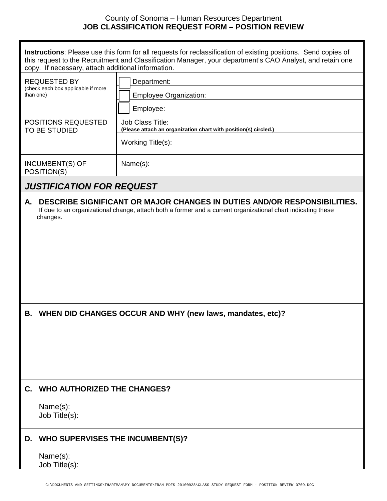## County of Sonoma – Human Resources Department **JOB CLASSIFICATION REQUEST FORM – POSITION REVIEW**

**Instructions**: Please use this form for all requests for reclassification of existing positions. Send copies of this request to the Recruitment and Classification Manager, your department's CAO Analyst, and retain one copy. If necessary, attach additional information.

| Department:<br><b>Employee Organization:</b>                                        |  |
|-------------------------------------------------------------------------------------|--|
| Employee:                                                                           |  |
| Job Class Title:<br>(Please attach an organization chart with position(s) circled.) |  |
| Working Title(s):                                                                   |  |
| Name(s):                                                                            |  |
|                                                                                     |  |

## *JUSTIFICATION FOR REQUEST*

**A. DESCRIBE SIGNIFICANT OR MAJOR CHANGES IN DUTIES AND/OR RESPONSIBILITIES.** If due to an organizational change, attach both a former and a current organizational chart indicating these changes.

**B. WHEN DID CHANGES OCCUR AND WHY (new laws, mandates, etc)?**

## **C. WHO AUTHORIZED THE CHANGES?**

Name(s): Job Title(s):

## **D. WHO SUPERVISES THE INCUMBENT(S)?**

Name(s): Job Title(s):